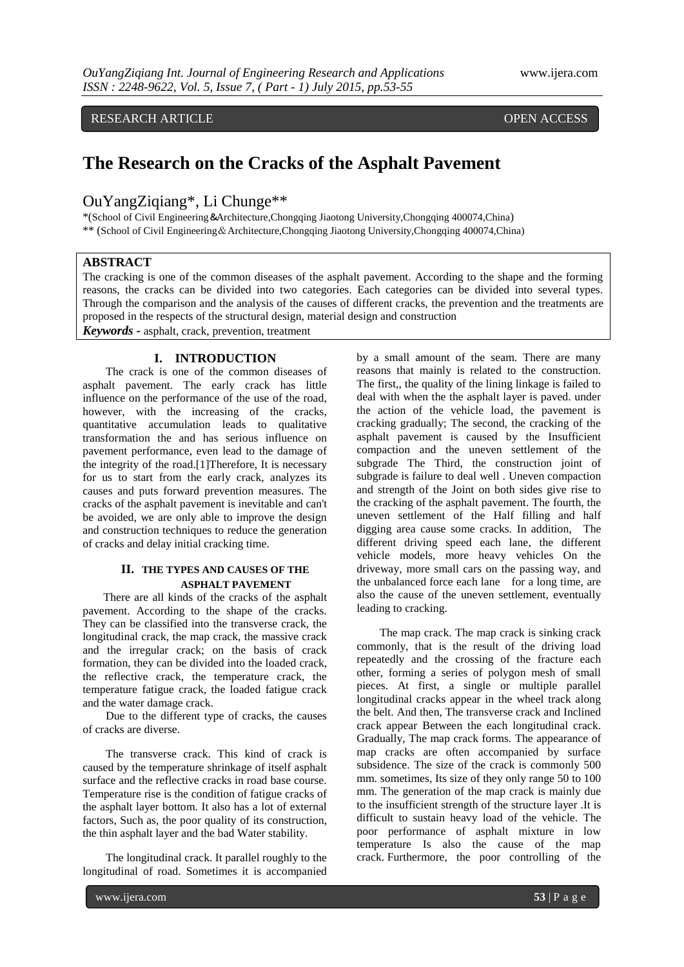RESEARCH ARTICLE **CONSERVERS** OPEN ACCESS

# **The Research on the Cracks of the Asphalt Pavement**

# OuYangZiqiang\*, Li Chunge\*\*

\*(School of Civil Engineering&Architecture,Chongqing Jiaotong University,Chongqing 400074,China) \*\* (School of Civil Engineering&Architecture,Chongqing Jiaotong University,Chongqing 400074,China)

# **ABSTRACT**

The cracking is one of the common diseases of the asphalt pavement. According to the shape and the forming reasons, the cracks can be divided into two categories. Each categories can be divided into several types. Through the comparison and the analysis of the causes of different cracks, the prevention and the treatments are proposed in the respects of the structural design, material design and construction *Keywords* **-** asphalt, crack, prevention, treatment

# **I. INTRODUCTION**

 The crack is one of the common diseases of asphalt pavement. The early crack has little influence on the performance of the use of the road, however, with the increasing of the cracks, quantitative accumulation leads to qualitative transformation the and has serious influence on pavement performance, even lead to the damage of the integrity of the road.[1]Therefore, It is necessary for us to start from the early crack, analyzes its causes and puts forward prevention measures. The cracks of the asphalt pavement is inevitable and can't be avoided, we are only able to improve the design and construction techniques to reduce the generation of cracks and delay initial cracking time.

#### **II. THE TYPES AND CAUSES OF THE ASPHALT PAVEMENT**

There are all kinds of the cracks of the asphalt pavement. According to the shape of the cracks. They can be classified into the transverse crack, the longitudinal crack, the map crack, the massive crack and the irregular crack; on the basis of crack formation, they can be divided into the loaded crack, the reflective crack, the temperature crack, the temperature fatigue crack, the loaded fatigue crack and the water damage crack.

Due to the different type of cracks, the causes of cracks are diverse.

The transverse crack. This kind of crack is caused by the temperature shrinkage of itself asphalt surface and the reflective cracks in road base course. Temperature rise is the condition of fatigue cracks of the asphalt layer bottom. It also has a lot of external factors, Such as, the poor quality of its construction, the thin asphalt layer and the bad Water stability.

The longitudinal crack. It parallel roughly to the longitudinal of road. Sometimes it is accompanied by a small amount of the seam. There are many reasons that mainly is related to the construction. The first,, the quality of the lining linkage is failed to deal with when the the asphalt layer is paved. under the action of the vehicle load, the pavement is cracking gradually; The second, the cracking of the asphalt pavement is caused by the Insufficient compaction and the uneven settlement of the subgrade The Third, the construction joint of subgrade is failure to deal well . Uneven compaction and strength of the Joint on both sides give rise to the cracking of the asphalt pavement. The fourth, the uneven settlement of the Half filling and half digging area cause some cracks. In addition, The different driving speed each lane, the different vehicle models, more heavy vehicles On the driveway, more small cars on the passing way, and the unbalanced force each lane for a long time, are also the cause of the uneven settlement, eventually leading to cracking.

The map crack. The map crack is sinking crack commonly, that is the result of the driving load repeatedly and the crossing of the fracture each other, forming a series of polygon mesh of small pieces. At first, a single or multiple parallel longitudinal cracks appear in the wheel track along the belt. And then, The transverse crack and Inclined crack appear Between the each longitudinal crack. Gradually, The map crack forms. The appearance of map cracks are often accompanied by surface subsidence. The size of the crack is commonly 500 mm. sometimes, Its size of they only range 50 to 100 mm. The generation of the map crack is mainly due to the insufficient strength of the structure layer .It is difficult to sustain heavy load of the vehicle. The poor performance of asphalt mixture in low temperature Is also the cause of the map crack. Furthermore, the poor controlling of the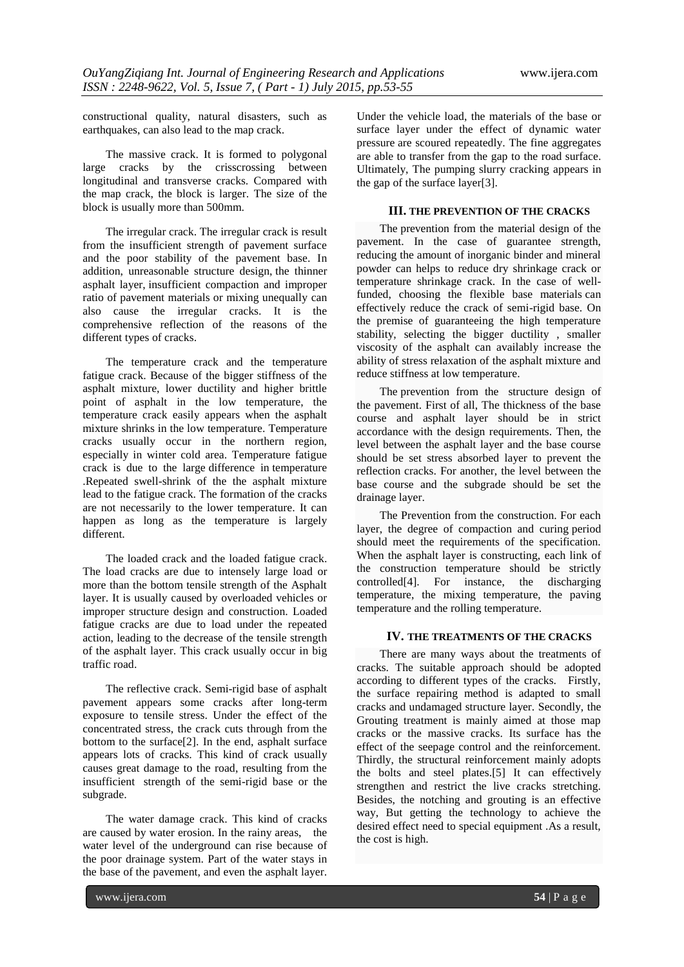constructional quality, natural disasters, such as earthquakes, can also lead to the map crack.

The massive crack. It is formed to [polygonal](http://dict.youdao.com/w/polygonal/) large cracks by the crisscrossing between longitudinal and transverse cracks. Compared with the map crack, the block is larger. The size of the block is usually more than 500mm.

The irregular crack. The irregular crack is result from the insufficient strength of pavement surface and the poor stability of the pavement base. In addition, unreasonable structure design, the thinner asphalt layer, insufficient compaction and improper ratio of pavement materials or mixing unequally can also cause the irregular cracks. It is the comprehensive reflection of the reasons of the different types of cracks.

The temperature crack and the temperature fatigue crack. Because of the bigger stiffness of the asphalt mixture, lower ductility and higher brittle point of asphalt in the low temperature, the temperature crack easily appears when the asphalt mixture [shrinks](http://dict.youdao.com/search?q=shrink&keyfrom=E2Ctranslation) in the low temperature. Temperature cracks usually occur in the northern region, especially in winter cold area. Temperature fatigue crack is due to the large difference in temperature .Repeated swell-shrink of the the asphalt mixture lead to the fatigue crack. The formation of the cracks are not necessarily to the lower temperature. It can happen as long as the temperature is largely different.

The loaded crack and the loaded fatigue crack. The load cracks are due to intensely large load or more than the bottom tensile strength of the Asphalt layer. It is usually caused by overloaded vehicles or improper structure design and construction. Loaded fatigue cracks are due to load under the repeated action, leading to the decrease of the tensile strength of the asphalt layer. This crack usually occur in big traffic road.

The reflective crack. Semi-rigid base of asphalt pavement appears some cracks after long-term exposure to tensile stress. Under the effect of the concentrated stress, the crack cuts through from the bottom to the surface[2]. In the end, asphalt surface appears lots of cracks. This kind of crack usually causes great damage to the road, resulting from the insufficient strength of the semi-rigid base or the subgrade.

The water damage crack. This kind of cracks are caused by water erosion. In the rainy areas, the water level of the underground can rise because of the poor drainage system. Part of the water stays in the [base](http://dict.youdao.com/w/base/) [of](http://dict.youdao.com/w/of/) the [pavement,](http://dict.youdao.com/w/pavement/) and even the asphalt layer.

Under the vehicle load, the materials of the base or surface layer under the effect of dynamic water pressure are scoured repeatedly. The fine aggregates are able to transfer from the gap to the road surface. Ultimately, The pumping slurry cracking appears in the gap of the surface layer[3].

### **III. THE PREVENTION OF THE CRACKS**

 The prevention from the material design of the pavement. In the case of guarantee strength, reducing the amount of inorganic binder and mineral powder can helps to reduce dry shrinkage crack or temperature shrinkage crack. In the case of wellfunded, choosing the flexible base materials can effectively reduce the crack of semi-rigid base. On the premise of guaranteeing the high temperature stability, selecting the bigger ductility , smaller viscosity of the asphalt can availably increase the ability of stress relaxation of the asphalt mixture and reduce stiffness at low temperature.

The prevention from the structure design of the pavement. First of all, The thickness of the base course and asphalt layer should be in strict accordance with the design requirements. Then, the level between the asphalt layer and the base course should be set stress absorbed layer to prevent the reflection cracks. For another, the level between the base course and the subgrade should be set the drainage layer.

 The Prevention from the construction. For each layer, the degree of compaction and curing period should meet the requirements of the specification. When the asphalt layer is constructing, each link of the construction temperature should be strictly controlled[4]. For instance, the discharging temperature, the mixing temperature, the paving temperature and the rolling temperature.

#### **IV. THE TREATMENTS OF THE CRACKS**

 There are many ways about the treatments of cracks. The suitable approach should be adopted according to different types of the cracks. Firstly, the surface repairing method is adapted to small cracks and undamaged structure layer. Secondly, the Grouting treatment is mainly aimed at those map cracks or the massive cracks. Its surface has the effect of the seepage control and the reinforcement. Thirdly, the structural reinforcement mainly adopts the bolts and steel plates.[5] It can effectively strengthen and restrict the live cracks stretching. Besides, the notching and grouting is an effective way, But getting the technology to achieve the desired effect need to special equipment .As a result, the cost is high.